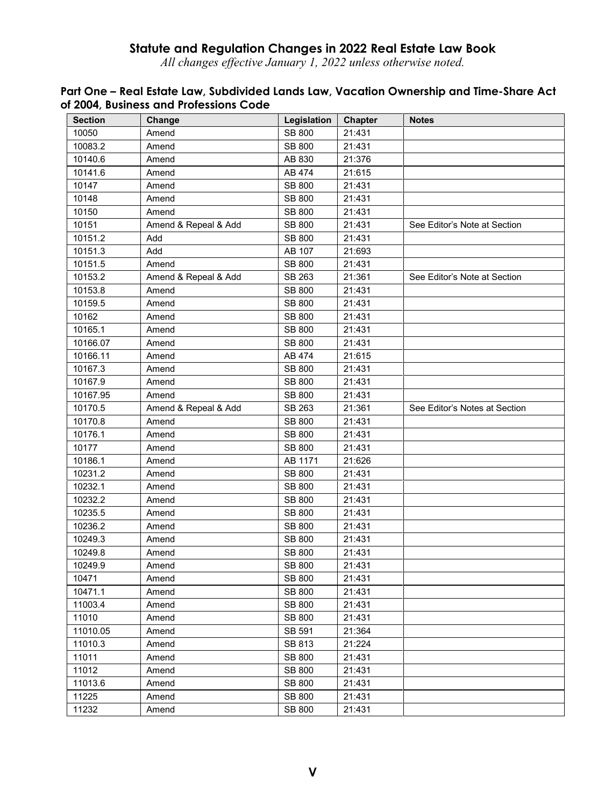# **Statute and Regulation Changes in 2022 Real Estate Law Book**

*All changes effective January 1, 2022 unless otherwise noted.* 

| <b>Section</b> | Change               | Legislation   | Chapter | <b>Notes</b>                  |
|----------------|----------------------|---------------|---------|-------------------------------|
| 10050          | Amend                | <b>SB 800</b> | 21:431  |                               |
| 10083.2        | Amend                | SB 800        | 21:431  |                               |
| 10140.6        | Amend                | AB 830        | 21:376  |                               |
| 10141.6        | Amend                | AB 474        | 21:615  |                               |
| 10147          | Amend                | <b>SB 800</b> | 21:431  |                               |
| 10148          | Amend                | SB 800        | 21:431  |                               |
| 10150          | Amend                | SB 800        | 21:431  |                               |
| 10151          | Amend & Repeal & Add | SB 800        | 21:431  | See Editor's Note at Section  |
| 10151.2        | Add                  | SB 800        | 21:431  |                               |
| 10151.3        | Add                  | AB 107        | 21:693  |                               |
| 10151.5        | Amend                | SB 800        | 21:431  |                               |
| 10153.2        | Amend & Repeal & Add | SB 263        | 21:361  | See Editor's Note at Section  |
| 10153.8        | Amend                | SB 800        | 21:431  |                               |
| 10159.5        | Amend                | <b>SB 800</b> | 21:431  |                               |
| 10162          | Amend                | SB 800        | 21:431  |                               |
| 10165.1        | Amend                | <b>SB 800</b> | 21:431  |                               |
| 10166.07       | Amend                | SB 800        | 21:431  |                               |
| 10166.11       | Amend                | AB 474        | 21:615  |                               |
| 10167.3        | Amend                | SB 800        | 21:431  |                               |
| 10167.9        | Amend                | <b>SB 800</b> | 21:431  |                               |
| 10167.95       | Amend                | SB 800        | 21:431  |                               |
| 10170.5        | Amend & Repeal & Add | SB 263        | 21:361  | See Editor's Notes at Section |
| 10170.8        | Amend                | SB 800        | 21:431  |                               |
| 10176.1        | Amend                | SB 800        | 21:431  |                               |
| 10177          | Amend                | SB 800        | 21:431  |                               |
| 10186.1        | Amend                | AB 1171       | 21:626  |                               |
| 10231.2        | Amend                | SB 800        | 21:431  |                               |
| 10232.1        | Amend                | SB 800        | 21:431  |                               |
| 10232.2        | Amend                | SB 800        | 21:431  |                               |
| 10235.5        | Amend                | SB 800        | 21:431  |                               |
| 10236.2        | Amend                | SB 800        | 21:431  |                               |
| 10249.3        | Amend                | SB 800        | 21:431  |                               |
| 10249.8        | Amend                | SB 800        | 21:431  |                               |
| 10249.9        | Amend                | <b>SB 800</b> | 21:431  |                               |
| 10471          | Amend                | <b>SB 800</b> | 21:431  |                               |
| 10471.1        | Amend                | SB 800        | 21:431  |                               |
| 11003.4        | Amend                | SB 800        | 21:431  |                               |
| 11010          | Amend                | SB 800        | 21:431  |                               |
| 11010.05       | Amend                | SB 591        | 21:364  |                               |
| 11010.3        | Amend                | SB 813        | 21:224  |                               |
| 11011          | Amend                | <b>SB 800</b> | 21:431  |                               |
| 11012          | Amend                | SB 800        | 21:431  |                               |
| 11013.6        | Amend                | SB 800        | 21:431  |                               |
| 11225          | Amend                | SB 800        | 21:431  |                               |
| 11232          | Amend                | SB 800        | 21:431  |                               |

# **Part One – Real Estate Law, Subdivided Lands Law, Vacation Ownership and Time-Share Act of 2004, Business and Professions Code**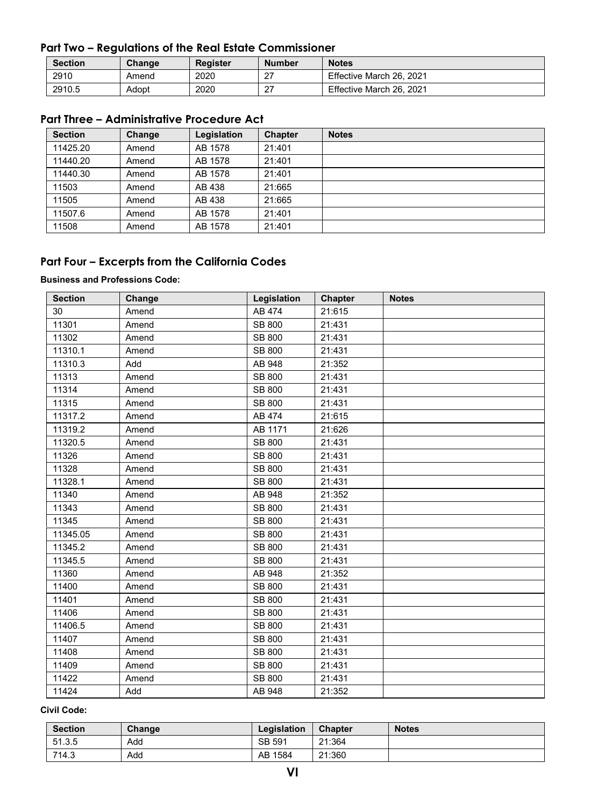# **Part Two – Regulations of the Real Estate Commissioner**

| <b>Section</b> | Change | Register | <b>Number</b>    | <b>Notes</b>             |
|----------------|--------|----------|------------------|--------------------------|
| 2910           | Amend  | 2020     | רמ<br>$\epsilon$ | Effective March 26, 2021 |
| 2910.5         | Adopt  | 2020     | ົ<br>ا ہے        | Effective March 26, 2021 |

# **Part Three – Administrative Procedure Act**

| <b>Section</b> | Change | Legislation | <b>Chapter</b> | <b>Notes</b> |
|----------------|--------|-------------|----------------|--------------|
| 11425.20       | Amend  | AB 1578     | 21:401         |              |
| 11440.20       | Amend  | AB 1578     | 21:401         |              |
| 11440.30       | Amend  | AB 1578     | 21:401         |              |
| 11503          | Amend  | AB 438      | 21:665         |              |
| 11505          | Amend  | AB 438      | 21:665         |              |
| 11507.6        | Amend  | AB 1578     | 21:401         |              |
| 11508          | Amend  | AB 1578     | 21:401         |              |

# **Part Four – Excerpts from the California Codes**

### **Business and Professions Code:**

| <b>Section</b> | Change | Legislation   | Chapter | <b>Notes</b> |
|----------------|--------|---------------|---------|--------------|
| 30             | Amend  | AB 474        | 21:615  |              |
| 11301          | Amend  | <b>SB 800</b> | 21:431  |              |
| 11302          | Amend  | <b>SB 800</b> | 21:431  |              |
| 11310.1        | Amend  | <b>SB 800</b> | 21:431  |              |
| 11310.3        | Add    | AB 948        | 21:352  |              |
| 11313          | Amend  | SB 800        | 21:431  |              |
| 11314          | Amend  | <b>SB 800</b> | 21:431  |              |
| 11315          | Amend  | SB 800        | 21:431  |              |
| 11317.2        | Amend  | AB 474        | 21:615  |              |
| 11319.2        | Amend  | AB 1171       | 21:626  |              |
| 11320.5        | Amend  | <b>SB 800</b> | 21:431  |              |
| 11326          | Amend  | <b>SB 800</b> | 21:431  |              |
| 11328          | Amend  | SB 800        | 21:431  |              |
| 11328.1        | Amend  | <b>SB 800</b> | 21:431  |              |
| 11340          | Amend  | AB 948        | 21:352  |              |
| 11343          | Amend  | <b>SB 800</b> | 21:431  |              |
| 11345          | Amend  | SB 800        | 21:431  |              |
| 11345.05       | Amend  | <b>SB 800</b> | 21:431  |              |
| 11345.2        | Amend  | <b>SB 800</b> | 21:431  |              |
| 11345.5        | Amend  | SB 800        | 21:431  |              |
| 11360          | Amend  | AB 948        | 21:352  |              |
| 11400          | Amend  | SB 800        | 21:431  |              |
| 11401          | Amend  | SB 800        | 21:431  |              |
| 11406          | Amend  | <b>SB 800</b> | 21:431  |              |
| 11406.5        | Amend  | SB 800        | 21:431  |              |
| 11407          | Amend  | <b>SB 800</b> | 21:431  |              |
| 11408          | Amend  | SB 800        | 21:431  |              |
| 11409          | Amend  | SB 800        | 21:431  |              |
| 11422          | Amend  | SB 800        | 21:431  |              |
| 11424          | Add    | AB 948        | 21:352  |              |

### **Civil Code:**

| Section | Change | Legislation | <b>Chapter</b> | <b>Notes</b> |
|---------|--------|-------------|----------------|--------------|
| 51.3.5  | Add    | SB 591      | 21:364         |              |
| 714.3   | Add    | AB 1584     | 21:360         |              |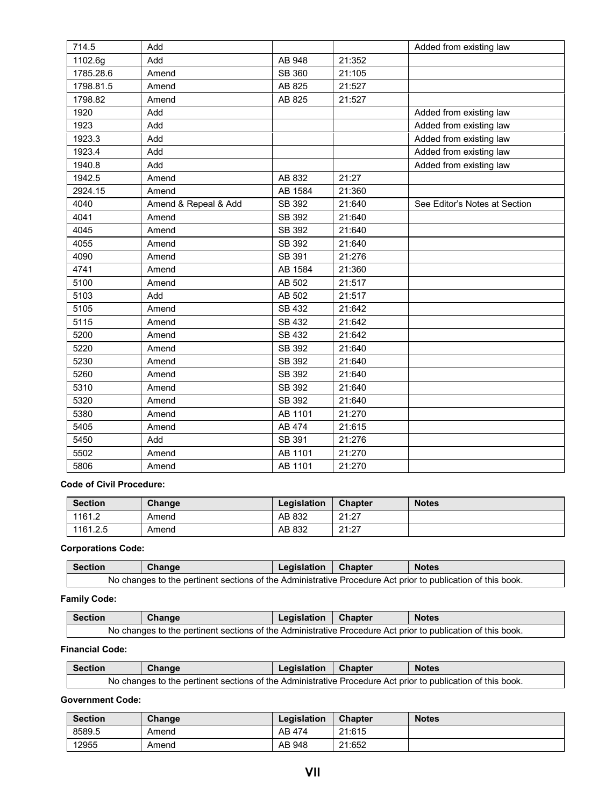| 714.5     | Add                  |         |        | Added from existing law       |
|-----------|----------------------|---------|--------|-------------------------------|
| 1102.6g   | Add                  | AB 948  | 21:352 |                               |
| 1785.28.6 | Amend                | SB 360  | 21:105 |                               |
| 1798.81.5 | Amend                | AB 825  | 21:527 |                               |
| 1798.82   | Amend                | AB 825  | 21:527 |                               |
| 1920      | Add                  |         |        | Added from existing law       |
| 1923      | Add                  |         |        | Added from existing law       |
| 1923.3    | Add                  |         |        | Added from existing law       |
| 1923.4    | Add                  |         |        | Added from existing law       |
| 1940.8    | Add                  |         |        | Added from existing law       |
| 1942.5    | Amend                | AB 832  | 21:27  |                               |
| 2924.15   | Amend                | AB 1584 | 21:360 |                               |
| 4040      | Amend & Repeal & Add | SB 392  | 21:640 | See Editor's Notes at Section |
| 4041      | Amend                | SB 392  | 21:640 |                               |
| 4045      | Amend                | SB 392  | 21:640 |                               |
| 4055      | Amend                | SB 392  | 21:640 |                               |
| 4090      | Amend                | SB 391  | 21:276 |                               |
| 4741      | Amend                | AB 1584 | 21:360 |                               |
| 5100      | Amend                | AB 502  | 21:517 |                               |
| 5103      | Add                  | AB 502  | 21:517 |                               |
| 5105      | Amend                | SB 432  | 21:642 |                               |
| 5115      | Amend                | SB 432  | 21:642 |                               |
| 5200      | Amend                | SB 432  | 21:642 |                               |
| 5220      | Amend                | SB 392  | 21:640 |                               |
| 5230      | Amend                | SB 392  | 21:640 |                               |
| 5260      | Amend                | SB 392  | 21:640 |                               |
| 5310      | Amend                | SB 392  | 21:640 |                               |
| 5320      | Amend                | SB 392  | 21:640 |                               |
| 5380      | Amend                | AB 1101 | 21:270 |                               |
| 5405      | Amend                | AB 474  | 21:615 |                               |
| 5450      | Add                  | SB 391  | 21:276 |                               |
| 5502      | Amend                | AB 1101 | 21:270 |                               |
| 5806      | Amend                | AB 1101 | 21:270 |                               |
|           |                      |         |        |                               |

### **Code of Civil Procedure:**

| <b>Section</b> | Change | Legislation | <b>Chapter</b> | <b>Notes</b> |
|----------------|--------|-------------|----------------|--------------|
| 1161.2         | Amend  | AB 832      | 21:27          |              |
| 1161.2.5       | Amend  | AB 832      | 21:27          |              |

### **Corporations Code:**

| <b>Section</b>                                                                                              | Change | Legislation | <b>Chapter</b> | <b>Notes</b> |  |
|-------------------------------------------------------------------------------------------------------------|--------|-------------|----------------|--------------|--|
| No changes to the pertinent sections of the Administrative Procedure Act prior to publication of this book. |        |             |                |              |  |

### **Family Code:**

| <b>Section</b>                                                                                              | Change | Legislation | Chapter | <b>Notes</b> |  |
|-------------------------------------------------------------------------------------------------------------|--------|-------------|---------|--------------|--|
| No changes to the pertinent sections of the Administrative Procedure Act prior to publication of this book. |        |             |         |              |  |

### **Financial Code:**

| Section                                                                                                     | Change | Legislation | <b>Chapter</b> | <b>Notes</b> |  |
|-------------------------------------------------------------------------------------------------------------|--------|-------------|----------------|--------------|--|
| No changes to the pertinent sections of the Administrative Procedure Act prior to publication of this book. |        |             |                |              |  |

#### **Government Code:**

| <b>Section</b> | Change | Legislation | <b>Chapter</b> | <b>Notes</b> |
|----------------|--------|-------------|----------------|--------------|
| 8589.5         | Amend  | AB 474      | 21:615         |              |
| 12955          | Amend  | AB 948      | 21:652         |              |